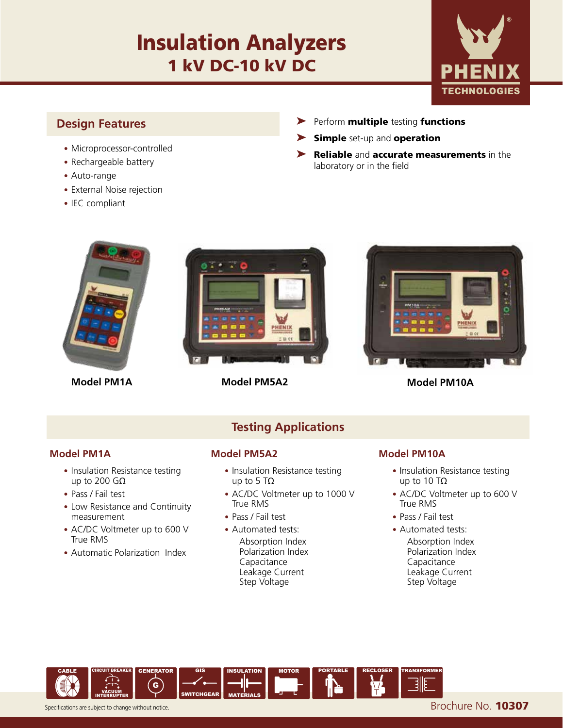# Insulation Analyzers 1 kV DC-10 kV DC



### **Design Features**

- Microprocessor-controlled
- Rechargeable battery
- Auto-range
- External Noise rejection
- IEC compliant
- ➤ Perform multiple testing functions
- ▶ Simple set-up and operation
- ▶ Reliable and accurate measurements in the laboratory or in the field



**Model PM1A**



**Model PM5A2 Model PM10A**



- Insulation Resistance testing up to 200 GΩ
- Pass / Fail test
- Low Resistance and Continuity measurement
- AC/DC Voltmeter up to 600 V True RMS
- Automatic Polarization Index

## **Testing Applications**

### **Model PM1A Model PM5A2 Model PM10A**

- Insulation Resistance testing up to 5 TΩ
- AC/DC Voltmeter up to 1000 V True RMS
- Pass / Fail test
- Automated tests: Absorption Index Polarization Index **Capacitance**  Leakage Current Step Voltage

- Insulation Resistance testing up to 10 TΩ
- AC/DC Voltmeter up to 600 V True RMS
- Pass / Fail test
- Automated tests: Absorption Index Polarization Index Capacitance Leakage Current Step Voltage



Specifications are subject to change without notice. **Brochure No. 10307**